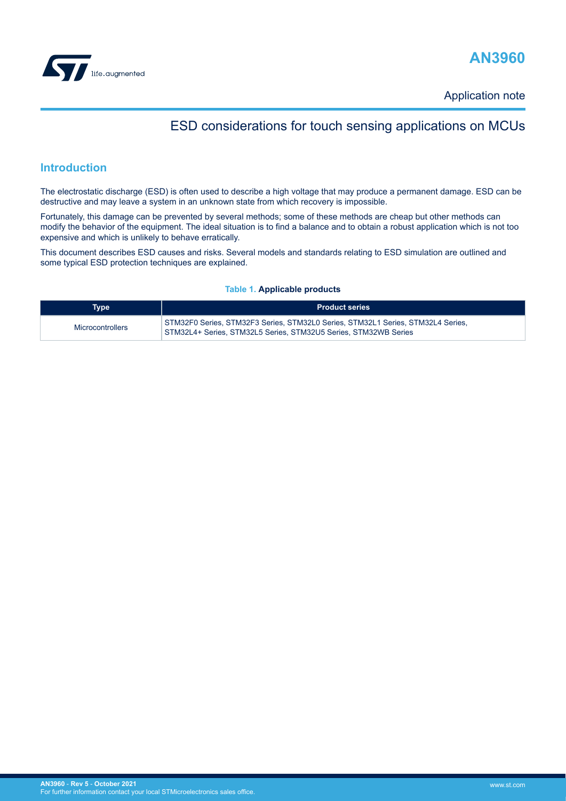<span id="page-0-0"></span>



Application note

## ESD considerations for touch sensing applications on MCUs

## **Introduction**

The electrostatic discharge (ESD) is often used to describe a high voltage that may produce a permanent damage. ESD can be destructive and may leave a system in an unknown state from which recovery is impossible.

Fortunately, this damage can be prevented by several methods; some of these methods are cheap but other methods can modify the behavior of the equipment. The ideal situation is to find a balance and to obtain a robust application which is not too expensive and which is unlikely to behave erratically.

This document describes ESD causes and risks. Several models and standards relating to ESD simulation are outlined and some typical ESD protection techniques are explained.

#### **Table 1. Applicable products**

| <b>Type</b>             | <b>Product series</b>                                                                                                                              |
|-------------------------|----------------------------------------------------------------------------------------------------------------------------------------------------|
| <b>Microcontrollers</b> | STM32F0 Series, STM32F3 Series, STM32L0 Series, STM32L1 Series, STM32L4 Series,<br>STM32L4+ Series. STM32L5 Series. STM32U5 Series. STM32WB Series |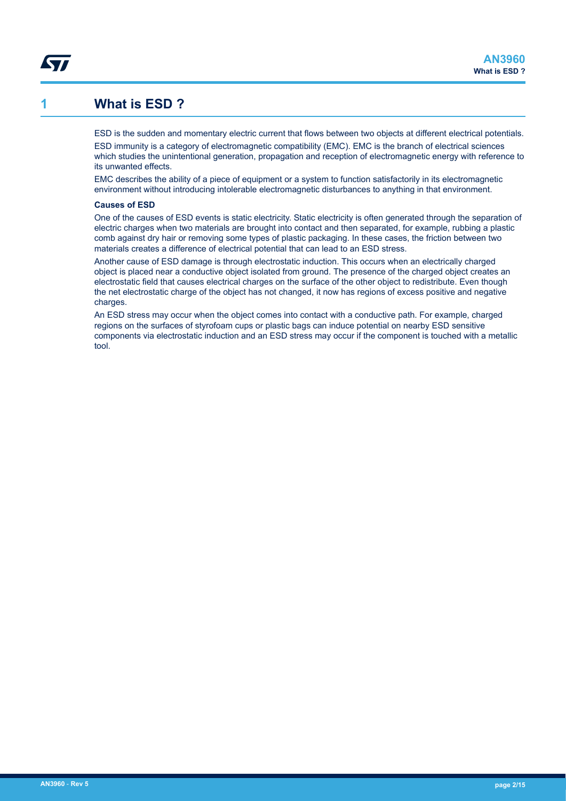## **1 What is ESD ?**

<span id="page-1-0"></span>*Lyt* 

ESD is the sudden and momentary electric current that flows between two objects at different electrical potentials.

ESD immunity is a category of electromagnetic compatibility (EMC). EMC is the branch of electrical sciences which studies the unintentional generation, propagation and reception of electromagnetic energy with reference to its unwanted effects.

EMC describes the ability of a piece of equipment or a system to function satisfactorily in its electromagnetic environment without introducing intolerable electromagnetic disturbances to anything in that environment.

#### **Causes of ESD**

One of the causes of ESD events is static electricity. Static electricity is often generated through the separation of electric charges when two materials are brought into contact and then separated, for example, rubbing a plastic comb against dry hair or removing some types of plastic packaging. In these cases, the friction between two materials creates a difference of electrical potential that can lead to an ESD stress.

Another cause of ESD damage is through electrostatic induction. This occurs when an electrically charged object is placed near a conductive object isolated from ground. The presence of the charged object creates an electrostatic field that causes electrical charges on the surface of the other object to redistribute. Even though the net electrostatic charge of the object has not changed, it now has regions of excess positive and negative charges.

An ESD stress may occur when the object comes into contact with a conductive path. For example, charged regions on the surfaces of styrofoam cups or plastic bags can induce potential on nearby ESD sensitive components via electrostatic induction and an ESD stress may occur if the component is touched with a metallic tool.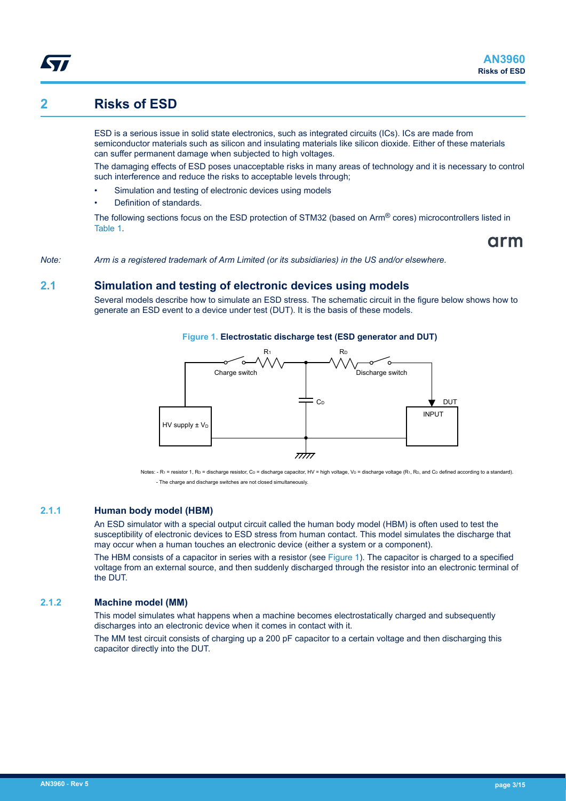## <span id="page-2-0"></span>**2 Risks of ESD**

ESD is a serious issue in solid state electronics, such as integrated circuits (ICs). ICs are made from semiconductor materials such as silicon and insulating materials like silicon dioxide. Either of these materials can suffer permanent damage when subjected to high voltages.

The damaging effects of ESD poses unacceptable risks in many areas of technology and it is necessary to control such interference and reduce the risks to acceptable levels through;

- Simulation and testing of electronic devices using models
- Definition of standards.

The following sections focus on the ESD protection of STM32 (based on Arm® cores) microcontrollers listed in [Table 1](#page-0-0).

arm

*Note: Arm is a registered trademark of Arm Limited (or its subsidiaries) in the US and/or elsewhere.*

### **2.1 Simulation and testing of electronic devices using models**

Several models describe how to simulate an ESD stress. The schematic circuit in the figure below shows how to generate an ESD event to a device under test (DUT). It is the basis of these models.





Notes: - R<sub>1</sub> = resistor 1, Ro = discharge resistor, Co = discharge capacitor, HV = high voltage, Vo = discharge voltage (R1, RD, and Co defined according to a standard). - The charge and discharge switches are not closed simultaneously.

#### **2.1.1 Human body model (HBM)**

An ESD simulator with a special output circuit called the human body model (HBM) is often used to test the susceptibility of electronic devices to ESD stress from human contact. This model simulates the discharge that may occur when a human touches an electronic device (either a system or a component).

The HBM consists of a capacitor in series with a resistor (see Figure 1). The capacitor is charged to a specified voltage from an external source, and then suddenly discharged through the resistor into an electronic terminal of the DUT.

#### **2.1.2 Machine model (MM)**

This model simulates what happens when a machine becomes electrostatically charged and subsequently discharges into an electronic device when it comes in contact with it.

The MM test circuit consists of charging up a 200 pF capacitor to a certain voltage and then discharging this capacitor directly into the DUT.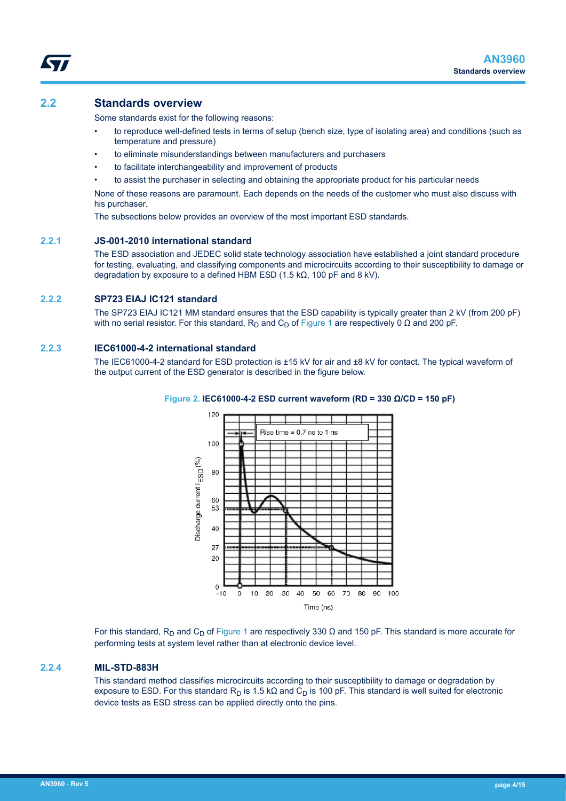## <span id="page-3-0"></span>**2.2 Standards overview**

Some standards exist for the following reasons:

- to reproduce well-defined tests in terms of setup (bench size, type of isolating area) and conditions (such as temperature and pressure)
- to eliminate misunderstandings between manufacturers and purchasers
- to facilitate interchangeability and improvement of products
- to assist the purchaser in selecting and obtaining the appropriate product for his particular needs

None of these reasons are paramount. Each depends on the needs of the customer who must also discuss with his purchaser.

The subsections below provides an overview of the most important ESD standards.

#### **2.2.1 JS-001-2010 international standard**

The ESD association and JEDEC solid state technology association have established a joint standard procedure for testing, evaluating, and classifying components and microcircuits according to their susceptibility to damage or degradation by exposure to a defined HBM ESD (1.5 kΩ, 100 pF and 8 kV).

#### **2.2.2 SP723 EIAJ IC121 standard**

The SP723 EIAJ IC121 MM standard ensures that the ESD capability is typically greater than 2 kV (from 200 pF) with no serial resistor. For this standard, R<sub>D</sub> and C<sub>D</sub> of [Figure 1](#page-2-0) are respectively 0 Ω and 200 pF.

#### **2.2.3 IEC61000-4-2 international standard**

The IEC61000-4-2 standard for ESD protection is ±15 kV for air and ±8 kV for contact. The typical waveform of the output current of the ESD generator is described in the figure below.



#### **Figure 2. IEC61000-4-2 ESD current waveform (RD = 330 Ω/CD = 150 pF)**

For this standard, R<sub>D</sub> and C<sub>D</sub> of [Figure 1](#page-2-0) are respectively 330  $\Omega$  and 150 pF. This standard is more accurate for performing tests at system level rather than at electronic device level.

#### **2.2.4 MIL-STD-883H**

This standard method classifies microcircuits according to their susceptibility to damage or degradation by exposure to ESD. For this standard R<sub>D</sub> is 1.5 kΩ and C<sub>D</sub> is 100 pF. This standard is well suited for electronic device tests as ESD stress can be applied directly onto the pins.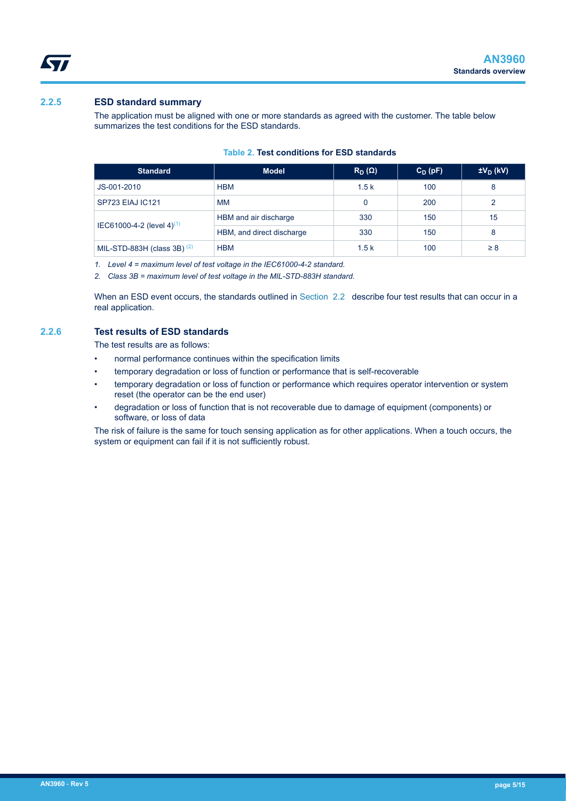

#### **2.2.5 ESD standard summary**

<span id="page-4-0"></span>ST

The application must be aligned with one or more standards as agreed with the customer. The table below summarizes the test conditions for the ESD standards.

#### **Table 2. Test conditions for ESD standards**

| <b>Standard</b>                       | <b>Model</b>              | $R_D(\Omega)$ | $C_D(pF)$ | $\pm V_D$ (kV) |
|---------------------------------------|---------------------------|---------------|-----------|----------------|
| JS-001-2010                           | <b>HBM</b>                | 1.5k          | 100       | 8              |
| <b>SP723 EIAJ IC121</b>               | <b>MM</b>                 | 0             | 200       | 2              |
| IEC61000-4-2 (level 4) <sup>(1)</sup> | HBM and air discharge     | 330           | 150       | 15             |
|                                       | HBM, and direct discharge | 330           | 150       | 8              |
| MIL-STD-883H (class 3B) $(2)$         | <b>HBM</b>                | 1.5k          | 100       | $\geq 8$       |

*1. Level 4 = maximum level of test voltage in the IEC61000-4-2 standard.*

*2. Class 3B = maximum level of test voltage in the MIL-STD-883H standard.*

When an ESD event occurs, the standards outlined in [Section 2.2](#page-3-0) describe four test results that can occur in a real application.

#### **2.2.6 Test results of ESD standards**

The test results are as follows:

- normal performance continues within the specification limits
- temporary degradation or loss of function or performance that is self-recoverable
- temporary degradation or loss of function or performance which requires operator intervention or system reset (the operator can be the end user)
- degradation or loss of function that is not recoverable due to damage of equipment (components) or software, or loss of data

The risk of failure is the same for touch sensing application as for other applications. When a touch occurs, the system or equipment can fail if it is not sufficiently robust.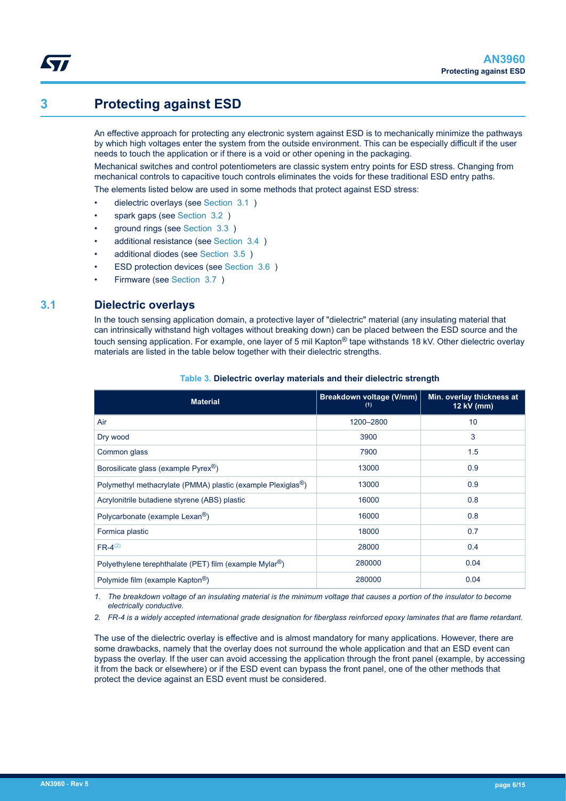## **3 Protecting against ESD**

<span id="page-5-0"></span>**S77** 

An effective approach for protecting any electronic system against ESD is to mechanically minimize the pathways by which high voltages enter the system from the outside environment. This can be especially difficult if the user needs to touch the application or if there is a void or other opening in the packaging.

Mechanical switches and control potentiometers are classic system entry points for ESD stress. Changing from mechanical controls to capacitive touch controls eliminates the voids for these traditional ESD entry paths.

The elements listed below are used in some methods that protect against ESD stress:

- dielectric overlays (see Section 3.1)
- spark gaps (see Section 3.2)
- ground rings (see Section 3.3)
- additional resistance (see [Section 3.4 \)](#page-7-0)
- additional diodes (see [Section 3.5](#page-7-0) )
- ESD protection devices (see [Section 3.6](#page-8-0) )
- Firmware (see [Section 3.7](#page-8-0) )

#### **3.1 Dielectric overlays**

In the touch sensing application domain, a protective layer of "dielectric" material (any insulating material that can intrinsically withstand high voltages without breaking down) can be placed between the ESD source and the touch sensing application. For example, one layer of 5 mil Kapton<sup>®</sup> tape withstands 18 kV. Other dielectric overlay materials are listed in the table below together with their dielectric strengths.

| <b>Material</b>                                                          | Breakdown voltage (V/mm)<br>(1) | Min. overlay thickness at<br>12 kV (mm) |
|--------------------------------------------------------------------------|---------------------------------|-----------------------------------------|
| Air                                                                      | 1200-2800                       | 10                                      |
| Dry wood                                                                 | 3900                            | 3                                       |
| Common glass                                                             | 7900                            | 1.5                                     |
| Borosilicate glass (example Pyrex <sup>®</sup> )                         | 13000                           | 0.9                                     |
| Polymethyl methacrylate (PMMA) plastic (example Plexiglas <sup>®</sup> ) | 13000                           | 0.9                                     |
| Acrylonitrile butadiene styrene (ABS) plastic                            | 16000                           | 0.8                                     |
| Polycarbonate (example Lexan <sup>®</sup> )                              | 16000                           | 0.8                                     |
| Formica plastic                                                          | 18000                           | 0.7                                     |
| $FR-4^{(2)}$                                                             | 28000                           | 0.4                                     |
| Polyethylene terephthalate (PET) film (example Mylar®)                   | 280000                          | 0.04                                    |
| Polymide film (example Kapton <sup>®</sup> )                             | 280000                          | 0.04                                    |

#### **Table 3. Dielectric overlay materials and their dielectric strength**

*1. The breakdown voltage of an insulating material is the minimum voltage that causes a portion of the insulator to become electrically conductive.*

*2. FR-4 is a widely accepted international grade designation for fiberglass reinforced epoxy laminates that are flame retardant.*

The use of the dielectric overlay is effective and is almost mandatory for many applications. However, there are some drawbacks, namely that the overlay does not surround the whole application and that an ESD event can bypass the overlay. If the user can avoid accessing the application through the front panel (example, by accessing it from the back or elsewhere) or if the ESD event can bypass the front panel, one of the other methods that protect the device against an ESD event must be considered.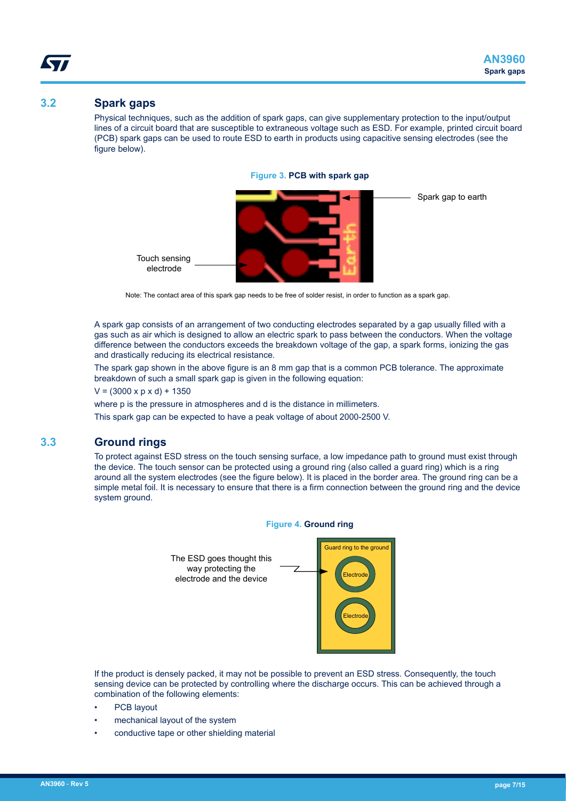### <span id="page-6-0"></span>**3.2 Spark gaps**

Physical techniques, such as the addition of spark gaps, can give supplementary protection to the input/output lines of a circuit board that are susceptible to extraneous voltage such as ESD. For example, printed circuit board (PCB) spark gaps can be used to route ESD to earth in products using capacitive sensing electrodes (see the figure below).





Note: The contact area of this spark gap needs to be free of solder resist, in order to function as a spark gap.

A spark gap consists of an arrangement of two conducting electrodes separated by a gap usually filled with a gas such as air which is designed to allow an electric spark to pass between the conductors. When the voltage difference between the conductors exceeds the breakdown voltage of the gap, a spark forms, ionizing the gas and drastically reducing its electrical resistance.

The spark gap shown in the above figure is an 8 mm gap that is a common PCB tolerance. The approximate breakdown of such a small spark gap is given in the following equation:

 $V = (3000 \times p \times d) + 1350$ 

where p is the pressure in atmospheres and d is the distance in millimeters.

This spark gap can be expected to have a peak voltage of about 2000-2500 V.

## **3.3 Ground rings**

To protect against ESD stress on the touch sensing surface, a low impedance path to ground must exist through the device. The touch sensor can be protected using a ground ring (also called a guard ring) which is a ring around all the system electrodes (see the figure below). It is placed in the border area. The ground ring can be a simple metal foil. It is necessary to ensure that there is a firm connection between the ground ring and the device system ground.



If the product is densely packed, it may not be possible to prevent an ESD stress. Consequently, the touch sensing device can be protected by controlling where the discharge occurs. This can be achieved through a combination of the following elements:

- PCB layout
- mechanical layout of the system
- conductive tape or other shielding material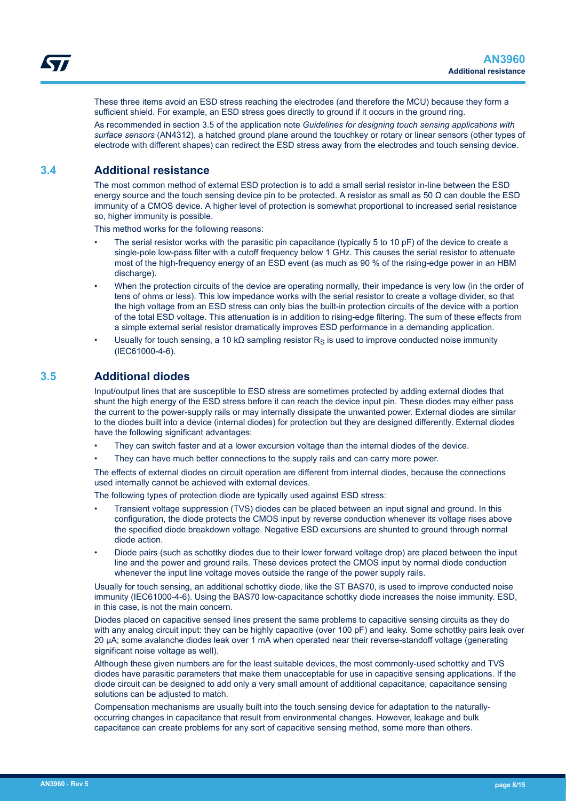<span id="page-7-0"></span>These three items avoid an ESD stress reaching the electrodes (and therefore the MCU) because they form a sufficient shield. For example, an ESD stress goes directly to ground if it occurs in the ground ring.

As recommended in section 3.5 of the application note *Guidelines for designing touch sensing applications with surface sensors* (AN4312), a hatched ground plane around the touchkey or rotary or linear sensors (other types of electrode with different shapes) can redirect the ESD stress away from the electrodes and touch sensing device.

### **3.4 Additional resistance**

The most common method of external ESD protection is to add a small serial resistor in-line between the ESD energy source and the touch sensing device pin to be protected. A resistor as small as 50  $\Omega$  can double the ESD immunity of a CMOS device. A higher level of protection is somewhat proportional to increased serial resistance so, higher immunity is possible.

This method works for the following reasons:

- The serial resistor works with the parasitic pin capacitance (typically 5 to 10 pF) of the device to create a single-pole low-pass filter with a cutoff frequency below 1 GHz. This causes the serial resistor to attenuate most of the high-frequency energy of an ESD event (as much as 90 % of the rising-edge power in an HBM discharge).
- When the protection circuits of the device are operating normally, their impedance is very low (in the order of tens of ohms or less). This low impedance works with the serial resistor to create a voltage divider, so that the high voltage from an ESD stress can only bias the built-in protection circuits of the device with a portion of the total ESD voltage. This attenuation is in addition to rising-edge filtering. The sum of these effects from a simple external serial resistor dramatically improves ESD performance in a demanding application.
- Usually for touch sensing, a 10 kΩ sampling resistor R<sub>S</sub> is used to improve conducted noise immunity (IEC61000-4-6).

### **3.5 Additional diodes**

Input/output lines that are susceptible to ESD stress are sometimes protected by adding external diodes that shunt the high energy of the ESD stress before it can reach the device input pin. These diodes may either pass the current to the power-supply rails or may internally dissipate the unwanted power. External diodes are similar to the diodes built into a device (internal diodes) for protection but they are designed differently. External diodes have the following significant advantages:

- They can switch faster and at a lower excursion voltage than the internal diodes of the device.
- They can have much better connections to the supply rails and can carry more power.

The effects of external diodes on circuit operation are different from internal diodes, because the connections used internally cannot be achieved with external devices.

The following types of protection diode are typically used against ESD stress:

- Transient voltage suppression (TVS) diodes can be placed between an input signal and ground. In this configuration, the diode protects the CMOS input by reverse conduction whenever its voltage rises above the specified diode breakdown voltage. Negative ESD excursions are shunted to ground through normal diode action.
- Diode pairs (such as schottky diodes due to their lower forward voltage drop) are placed between the input line and the power and ground rails. These devices protect the CMOS input by normal diode conduction whenever the input line voltage moves outside the range of the power supply rails.

Usually for touch sensing, an additional schottky diode, like the ST BAS70, is used to improve conducted noise immunity (IEC61000-4-6). Using the BAS70 low-capacitance schottky diode increases the noise immunity. ESD, in this case, is not the main concern.

Diodes placed on capacitive sensed lines present the same problems to capacitive sensing circuits as they do with any analog circuit input: they can be highly capacitive (over 100 pF) and leaky. Some schottky pairs leak over 20 µA; some avalanche diodes leak over 1 mA when operated near their reverse-standoff voltage (generating significant noise voltage as well).

Although these given numbers are for the least suitable devices, the most commonly-used schottky and TVS diodes have parasitic parameters that make them unacceptable for use in capacitive sensing applications. If the diode circuit can be designed to add only a very small amount of additional capacitance, capacitance sensing solutions can be adjusted to match.

Compensation mechanisms are usually built into the touch sensing device for adaptation to the naturallyoccurring changes in capacitance that result from environmental changes. However, leakage and bulk capacitance can create problems for any sort of capacitive sensing method, some more than others.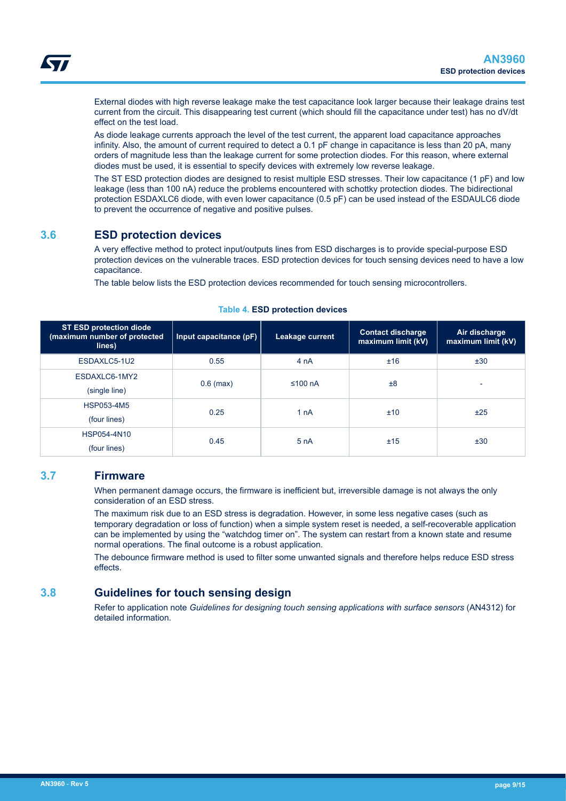<span id="page-8-0"></span>External diodes with high reverse leakage make the test capacitance look larger because their leakage drains test current from the circuit. This disappearing test current (which should fill the capacitance under test) has no dV/dt effect on the test load.

As diode leakage currents approach the level of the test current, the apparent load capacitance approaches infinity. Also, the amount of current required to detect a 0.1 pF change in capacitance is less than 20 pA, many orders of magnitude less than the leakage current for some protection diodes. For this reason, where external diodes must be used, it is essential to specify devices with extremely low reverse leakage.

The ST ESD protection diodes are designed to resist multiple ESD stresses. Their low capacitance (1 pF) and low leakage (less than 100 nA) reduce the problems encountered with schottky protection diodes. The bidirectional protection ESDAXLC6 diode, with even lower capacitance (0.5 pF) can be used instead of the ESDAULC6 diode to prevent the occurrence of negative and positive pulses.

## **3.6 ESD protection devices**

A very effective method to protect input/outputs lines from ESD discharges is to provide special-purpose ESD protection devices on the vulnerable traces. ESD protection devices for touch sensing devices need to have a low capacitance.

The table below lists the ESD protection devices recommended for touch sensing microcontrollers.

| <b>ST ESD protection diode</b><br>(maximum number of protected<br>lines) | Input capacitance (pF) | Leakage current  | <b>Contact discharge</b><br>maximum limit (kV) | Air discharge<br>maximum limit (kV) |
|--------------------------------------------------------------------------|------------------------|------------------|------------------------------------------------|-------------------------------------|
| ESDAXLC5-1U2                                                             | 0.55                   | 4 <sub>n</sub> A | ±16                                            | ±30                                 |
| ESDAXLC6-1MY2<br>(single line)                                           | $0.6$ (max)            | ≤100 $nA$        | ±8                                             | $\overline{\phantom{0}}$            |
| <b>HSP053-4M5</b><br>(four lines)                                        | 0.25                   | 1 nA             | ±10                                            | ±25                                 |
| HSP054-4N10<br>(four lines)                                              | 0.45                   | 5nA              | ±15                                            | ±30                                 |

#### **Table 4. ESD protection devices**

### **3.7 Firmware**

When permanent damage occurs, the firmware is inefficient but, irreversible damage is not always the only consideration of an ESD stress.

The maximum risk due to an ESD stress is degradation. However, in some less negative cases (such as temporary degradation or loss of function) when a simple system reset is needed, a self-recoverable application can be implemented by using the "watchdog timer on". The system can restart from a known state and resume normal operations. The final outcome is a robust application.

The debounce firmware method is used to filter some unwanted signals and therefore helps reduce ESD stress effects.

## **3.8 Guidelines for touch sensing design**

Refer to application note *Guidelines for designing touch sensing applications with surface sensors* (AN4312) for detailed information.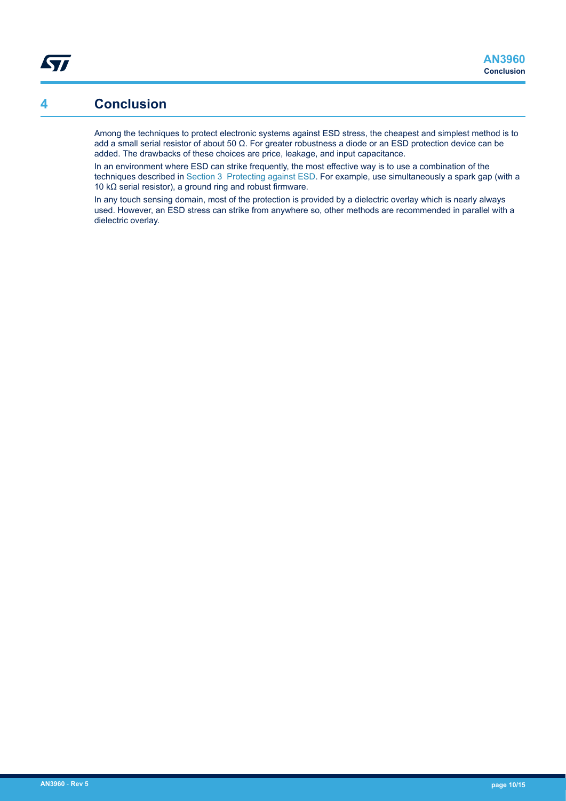## <span id="page-9-0"></span>**4 Conclusion**

Among the techniques to protect electronic systems against ESD stress, the cheapest and simplest method is to add a small serial resistor of about 50 Ω. For greater robustness a diode or an ESD protection device can be added. The drawbacks of these choices are price, leakage, and input capacitance.

In an environment where ESD can strike frequently, the most effective way is to use a combination of the techniques described in [Section 3 Protecting against ESD.](#page-5-0) For example, use simultaneously a spark gap (with a 10 kΩ serial resistor), a ground ring and robust firmware.

In any touch sensing domain, most of the protection is provided by a dielectric overlay which is nearly always used. However, an ESD stress can strike from anywhere so, other methods are recommended in parallel with a dielectric overlay.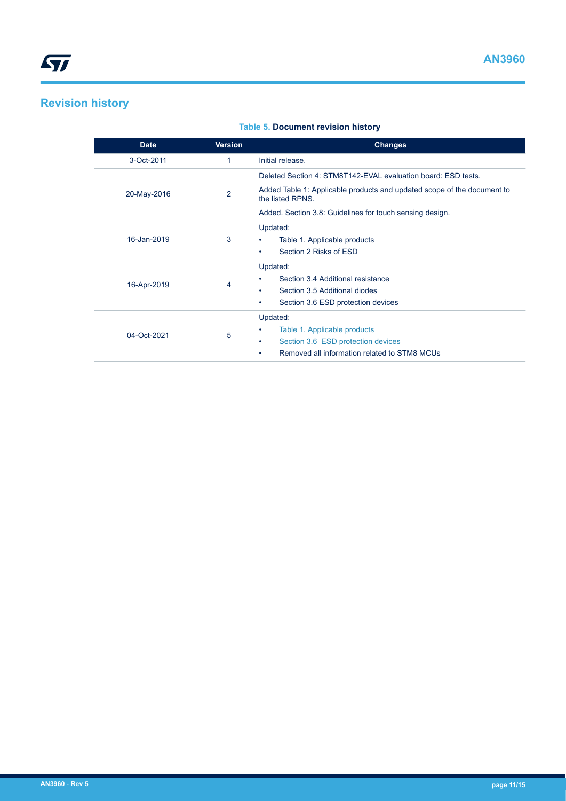## <span id="page-10-0"></span>**Revision history**

### **Table 5. Document revision history**

| <b>Date</b> | <b>Version</b> | <b>Changes</b>                                                                                                                                |
|-------------|----------------|-----------------------------------------------------------------------------------------------------------------------------------------------|
| 3-Oct-2011  | 1              | Initial release.                                                                                                                              |
|             |                | Deleted Section 4: STM8T142-EVAL evaluation board: ESD tests.                                                                                 |
| 20-May-2016 | $\overline{2}$ | Added Table 1: Applicable products and updated scope of the document to<br>the listed RPNS.                                                   |
|             |                | Added. Section 3.8: Guidelines for touch sensing design.                                                                                      |
| 16-Jan-2019 | 3              | Updated:<br>Table 1. Applicable products<br>٠<br>Section 2 Risks of ESD<br>٠                                                                  |
| 16-Apr-2019 | 4              | Updated:<br>Section 3.4 Additional resistance<br>Section 3.5 Additional diodes<br>٠<br>Section 3.6 ESD protection devices<br>٠                |
| 04-Oct-2021 | 5              | Updated:<br>Table 1. Applicable products<br>٠<br>Section 3.6 ESD protection devices<br>٠<br>Removed all information related to STM8 MCUs<br>٠ |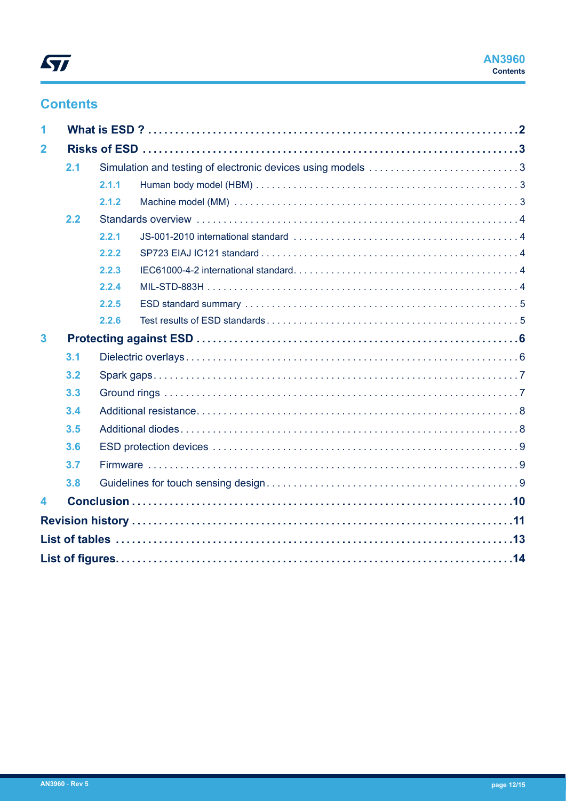## **Contents**

| $\overline{\mathbf{1}}$ |     |       |                                                             |  |  |  |
|-------------------------|-----|-------|-------------------------------------------------------------|--|--|--|
| $\overline{2}$          |     |       |                                                             |  |  |  |
|                         | 2.1 |       | Simulation and testing of electronic devices using models 3 |  |  |  |
|                         |     | 2.1.1 |                                                             |  |  |  |
|                         |     | 2.1.2 |                                                             |  |  |  |
|                         | 2.2 |       |                                                             |  |  |  |
|                         |     | 2.2.1 |                                                             |  |  |  |
|                         |     | 2.2.2 |                                                             |  |  |  |
|                         |     | 2.2.3 |                                                             |  |  |  |
|                         |     | 2.2.4 |                                                             |  |  |  |
|                         |     | 2.2.5 |                                                             |  |  |  |
|                         |     | 2.2.6 |                                                             |  |  |  |
| $\overline{\mathbf{3}}$ |     |       |                                                             |  |  |  |
|                         | 3.1 |       |                                                             |  |  |  |
|                         | 3.2 |       |                                                             |  |  |  |
|                         | 3.3 |       |                                                             |  |  |  |
|                         | 3.4 |       |                                                             |  |  |  |
|                         | 3.5 |       |                                                             |  |  |  |
|                         | 3.6 |       |                                                             |  |  |  |
|                         | 3.7 |       |                                                             |  |  |  |
|                         | 3.8 |       |                                                             |  |  |  |
| $\overline{\mathbf{4}}$ |     |       |                                                             |  |  |  |
|                         |     |       |                                                             |  |  |  |
|                         |     |       |                                                             |  |  |  |
|                         |     |       |                                                             |  |  |  |
|                         |     |       |                                                             |  |  |  |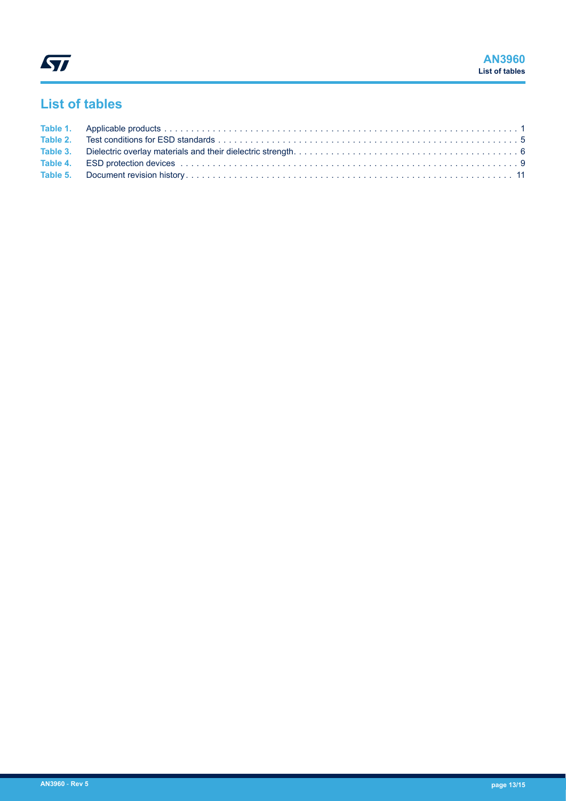## <span id="page-12-0"></span>**List of tables**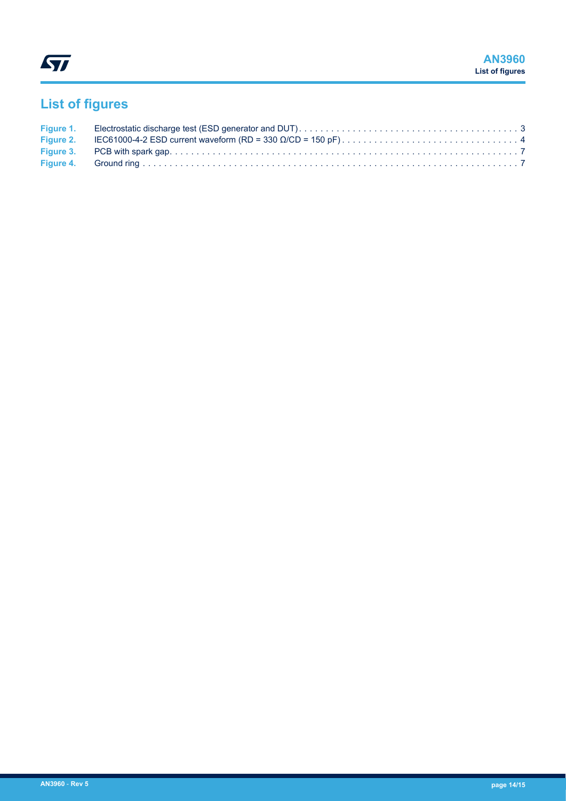# <span id="page-13-0"></span>**List of figures**